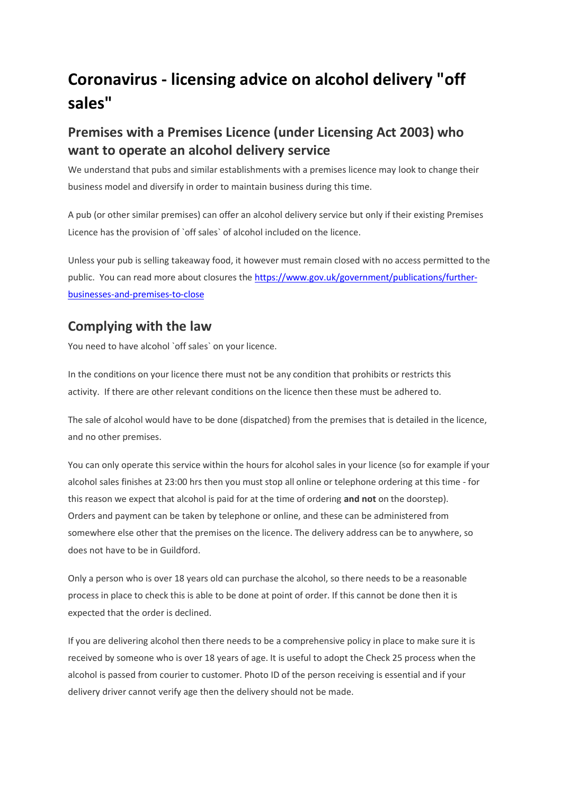# **Coronavirus - licensing advice on alcohol delivery "off sales"**

## **Premises with a Premises Licence (under Licensing Act 2003) who want to operate an alcohol delivery service**

We understand that pubs and similar establishments with a premises licence may look to change their business model and diversify in order to maintain business during this time.

A pub (or other similar premises) can offer an alcohol delivery service but only if their existing Premises Licence has the provision of `off sales` of alcohol included on the licence.

Unless your pub is selling takeaway food, it however must remain closed with no access permitted to the public. You can read more about closures th[e https://www.gov.uk/government/publications/further](https://www.gov.uk/government/publications/further-businesses-and-premises-to-close)[businesses-and-premises-to-close](https://www.gov.uk/government/publications/further-businesses-and-premises-to-close)

#### **Complying with the law**

You need to have alcohol `off sales` on your licence.

In the conditions on your licence there must not be any condition that prohibits or restricts this activity. If there are other relevant conditions on the licence then these must be adhered to.

The sale of alcohol would have to be done (dispatched) from the premises that is detailed in the licence, and no other premises.

You can only operate this service within the hours for alcohol sales in your licence (so for example if your alcohol sales finishes at 23:00 hrs then you must stop all online or telephone ordering at this time - for this reason we expect that alcohol is paid for at the time of ordering **and not** on the doorstep). Orders and payment can be taken by telephone or online, and these can be administered from somewhere else other that the premises on the licence. The delivery address can be to anywhere, so does not have to be in Guildford.

Only a person who is over 18 years old can purchase the alcohol, so there needs to be a reasonable process in place to check this is able to be done at point of order. If this cannot be done then it is expected that the order is declined.

If you are delivering alcohol then there needs to be a comprehensive policy in place to make sure it is received by someone who is over 18 years of age. It is useful to adopt the Check 25 process when the alcohol is passed from courier to customer. Photo ID of the person receiving is essential and if your delivery driver cannot verify age then the delivery should not be made.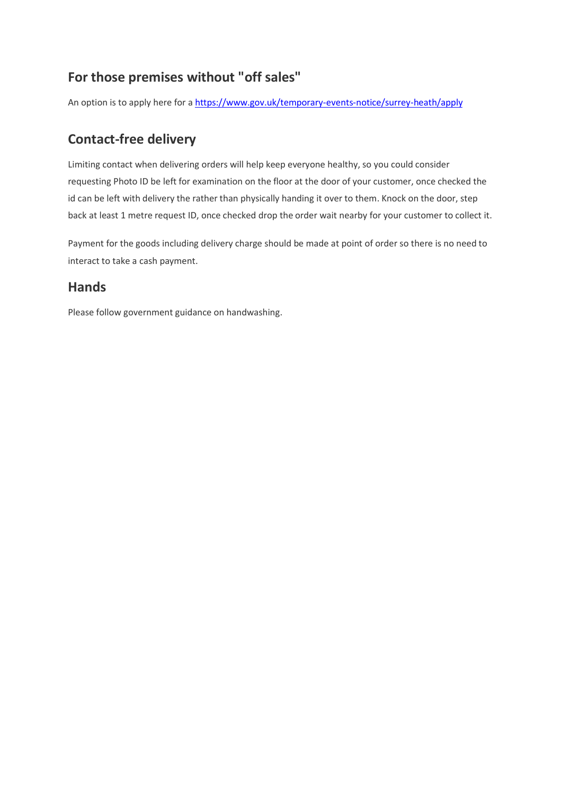### **For those premises without "off sales"**

An option is to apply here for [a https://www.gov.uk/temporary-events-notice/surrey-heath/apply](https://www.gov.uk/temporary-events-notice/surrey-heath/apply)

#### **Contact-free delivery**

Limiting contact when delivering orders will help keep everyone healthy, so you could consider requesting Photo ID be left for examination on the floor at the door of your customer, once checked the id can be left with delivery the rather than physically handing it over to them. Knock on the door, step back at least 1 metre request ID, once checked drop the order wait nearby for your customer to collect it.

Payment for the goods including delivery charge should be made at point of order so there is no need to interact to take a cash payment.

#### **Hands**

Please follow [government guidance on handwashing.](https://www.gov.uk/coronavirus)